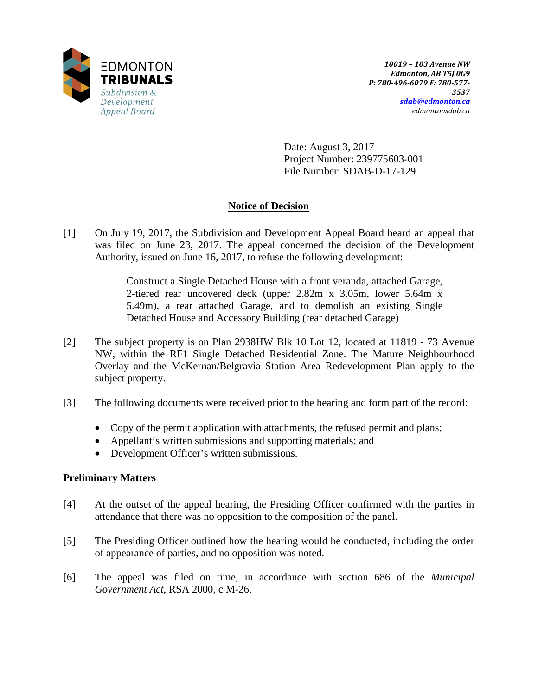

Date: August 3, 2017 Project Number: 239775603-001 File Number: SDAB-D-17-129

# **Notice of Decision**

[1] On July 19, 2017, the Subdivision and Development Appeal Board heard an appeal that was filed on June 23, 2017. The appeal concerned the decision of the Development Authority, issued on June 16, 2017, to refuse the following development:

> Construct a Single Detached House with a front veranda, attached Garage, 2-tiered rear uncovered deck (upper 2.82m x 3.05m, lower 5.64m x 5.49m), a rear attached Garage, and to demolish an existing Single Detached House and Accessory Building (rear detached Garage)

- [2] The subject property is on Plan 2938HW Blk 10 Lot 12, located at 11819 73 Avenue NW, within the RF1 Single Detached Residential Zone. The Mature Neighbourhood Overlay and the McKernan/Belgravia Station Area Redevelopment Plan apply to the subject property.
- [3] The following documents were received prior to the hearing and form part of the record:
	- Copy of the permit application with attachments, the refused permit and plans;
	- Appellant's written submissions and supporting materials; and
	- Development Officer's written submissions.

# **Preliminary Matters**

- [4] At the outset of the appeal hearing, the Presiding Officer confirmed with the parties in attendance that there was no opposition to the composition of the panel.
- [5] The Presiding Officer outlined how the hearing would be conducted, including the order of appearance of parties, and no opposition was noted.
- [6] The appeal was filed on time, in accordance with section 686 of the *Municipal Government Act*, RSA 2000, c M-26.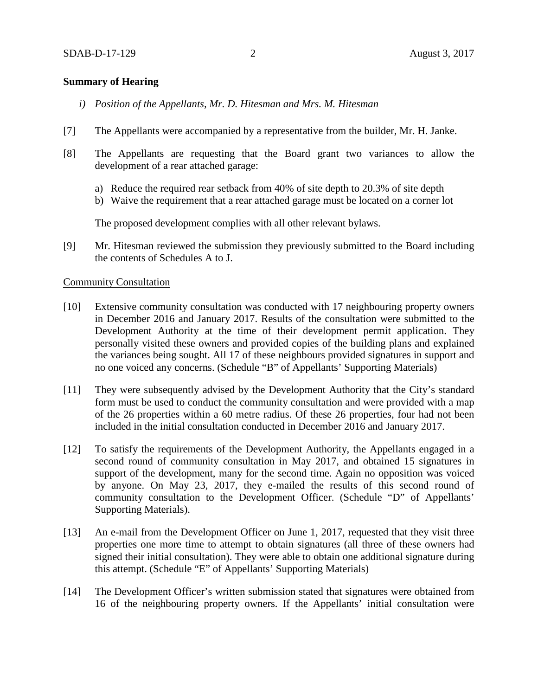#### **Summary of Hearing**

- *i) Position of the Appellants, Mr. D. Hitesman and Mrs. M. Hitesman*
- [7] The Appellants were accompanied by a representative from the builder, Mr. H. Janke.
- [8] The Appellants are requesting that the Board grant two variances to allow the development of a rear attached garage:
	- a) Reduce the required rear setback from 40% of site depth to 20.3% of site depth
	- b) Waive the requirement that a rear attached garage must be located on a corner lot

The proposed development complies with all other relevant bylaws.

[9] Mr. Hitesman reviewed the submission they previously submitted to the Board including the contents of Schedules A to J.

#### Community Consultation

- [10] Extensive community consultation was conducted with 17 neighbouring property owners in December 2016 and January 2017. Results of the consultation were submitted to the Development Authority at the time of their development permit application. They personally visited these owners and provided copies of the building plans and explained the variances being sought. All 17 of these neighbours provided signatures in support and no one voiced any concerns. (Schedule "B" of Appellants' Supporting Materials)
- [11] They were subsequently advised by the Development Authority that the City's standard form must be used to conduct the community consultation and were provided with a map of the 26 properties within a 60 metre radius. Of these 26 properties, four had not been included in the initial consultation conducted in December 2016 and January 2017.
- [12] To satisfy the requirements of the Development Authority, the Appellants engaged in a second round of community consultation in May 2017, and obtained 15 signatures in support of the development, many for the second time. Again no opposition was voiced by anyone. On May 23, 2017, they e-mailed the results of this second round of community consultation to the Development Officer. (Schedule "D" of Appellants' Supporting Materials).
- [13] An e-mail from the Development Officer on June 1, 2017, requested that they visit three properties one more time to attempt to obtain signatures (all three of these owners had signed their initial consultation). They were able to obtain one additional signature during this attempt. (Schedule "E" of Appellants' Supporting Materials)
- [14] The Development Officer's written submission stated that signatures were obtained from 16 of the neighbouring property owners. If the Appellants' initial consultation were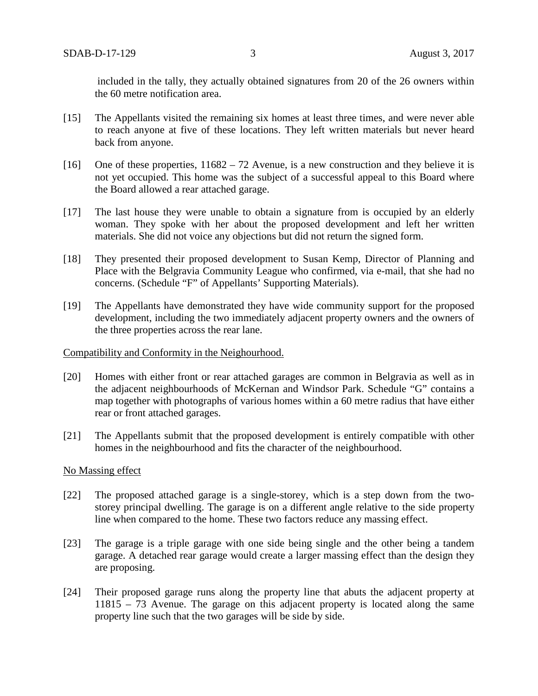included in the tally, they actually obtained signatures from 20 of the 26 owners within the 60 metre notification area.

- [15] The Appellants visited the remaining six homes at least three times, and were never able to reach anyone at five of these locations. They left written materials but never heard back from anyone.
- [16] One of these properties,  $11682 72$  Avenue, is a new construction and they believe it is not yet occupied. This home was the subject of a successful appeal to this Board where the Board allowed a rear attached garage.
- [17] The last house they were unable to obtain a signature from is occupied by an elderly woman. They spoke with her about the proposed development and left her written materials. She did not voice any objections but did not return the signed form.
- [18] They presented their proposed development to Susan Kemp, Director of Planning and Place with the Belgravia Community League who confirmed, via e-mail, that she had no concerns. (Schedule "F" of Appellants' Supporting Materials).
- [19] The Appellants have demonstrated they have wide community support for the proposed development, including the two immediately adjacent property owners and the owners of the three properties across the rear lane.

#### Compatibility and Conformity in the Neighourhood.

- [20] Homes with either front or rear attached garages are common in Belgravia as well as in the adjacent neighbourhoods of McKernan and Windsor Park. Schedule "G" contains a map together with photographs of various homes within a 60 metre radius that have either rear or front attached garages.
- [21] The Appellants submit that the proposed development is entirely compatible with other homes in the neighbourhood and fits the character of the neighbourhood.

#### No Massing effect

- [22] The proposed attached garage is a single-storey, which is a step down from the twostorey principal dwelling. The garage is on a different angle relative to the side property line when compared to the home. These two factors reduce any massing effect.
- [23] The garage is a triple garage with one side being single and the other being a tandem garage. A detached rear garage would create a larger massing effect than the design they are proposing.
- [24] Their proposed garage runs along the property line that abuts the adjacent property at 11815 – 73 Avenue. The garage on this adjacent property is located along the same property line such that the two garages will be side by side.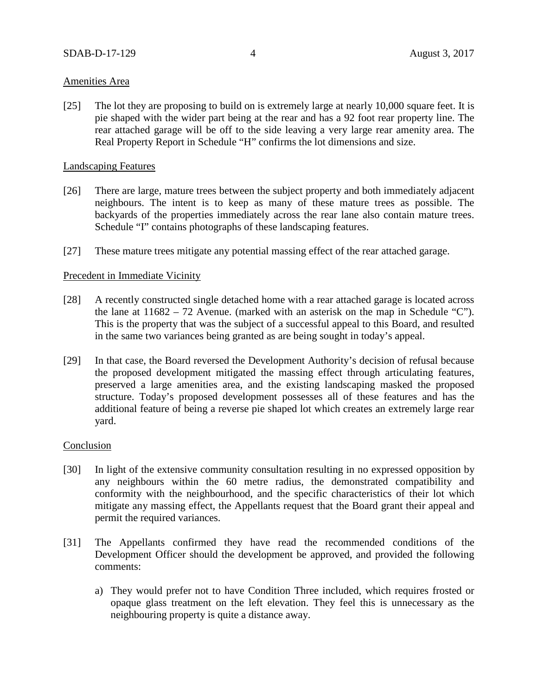# Amenities Area

[25] The lot they are proposing to build on is extremely large at nearly 10,000 square feet. It is pie shaped with the wider part being at the rear and has a 92 foot rear property line. The rear attached garage will be off to the side leaving a very large rear amenity area. The Real Property Report in Schedule "H" confirms the lot dimensions and size.

#### Landscaping Features

- [26] There are large, mature trees between the subject property and both immediately adjacent neighbours. The intent is to keep as many of these mature trees as possible. The backyards of the properties immediately across the rear lane also contain mature trees. Schedule "I" contains photographs of these landscaping features.
- [27] These mature trees mitigate any potential massing effect of the rear attached garage.

# Precedent in Immediate Vicinity

- [28] A recently constructed single detached home with a rear attached garage is located across the lane at  $11682 - 72$  Avenue. (marked with an asterisk on the map in Schedule "C"). This is the property that was the subject of a successful appeal to this Board, and resulted in the same two variances being granted as are being sought in today's appeal.
- [29] In that case, the Board reversed the Development Authority's decision of refusal because the proposed development mitigated the massing effect through articulating features, preserved a large amenities area, and the existing landscaping masked the proposed structure. Today's proposed development possesses all of these features and has the additional feature of being a reverse pie shaped lot which creates an extremely large rear yard.

#### Conclusion

- [30] In light of the extensive community consultation resulting in no expressed opposition by any neighbours within the 60 metre radius, the demonstrated compatibility and conformity with the neighbourhood, and the specific characteristics of their lot which mitigate any massing effect, the Appellants request that the Board grant their appeal and permit the required variances.
- [31] The Appellants confirmed they have read the recommended conditions of the Development Officer should the development be approved, and provided the following comments:
	- a) They would prefer not to have Condition Three included, which requires frosted or opaque glass treatment on the left elevation. They feel this is unnecessary as the neighbouring property is quite a distance away.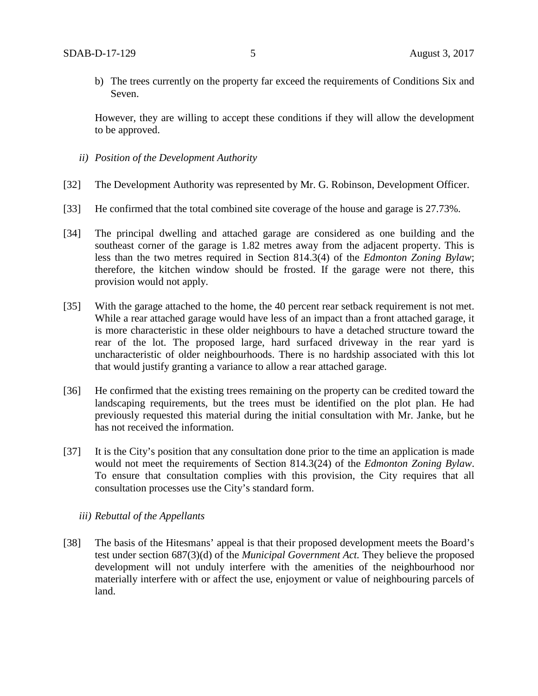b) The trees currently on the property far exceed the requirements of Conditions Six and Seven.

However, they are willing to accept these conditions if they will allow the development to be approved.

- *ii) Position of the Development Authority*
- [32] The Development Authority was represented by Mr. G. Robinson, Development Officer.
- [33] He confirmed that the total combined site coverage of the house and garage is 27.73%.
- [34] The principal dwelling and attached garage are considered as one building and the southeast corner of the garage is 1.82 metres away from the adjacent property. This is less than the two metres required in Section 814.3(4) of the *Edmonton Zoning Bylaw*; therefore, the kitchen window should be frosted. If the garage were not there, this provision would not apply.
- [35] With the garage attached to the home, the 40 percent rear setback requirement is not met. While a rear attached garage would have less of an impact than a front attached garage, it is more characteristic in these older neighbours to have a detached structure toward the rear of the lot. The proposed large, hard surfaced driveway in the rear yard is uncharacteristic of older neighbourhoods. There is no hardship associated with this lot that would justify granting a variance to allow a rear attached garage.
- [36] He confirmed that the existing trees remaining on the property can be credited toward the landscaping requirements, but the trees must be identified on the plot plan. He had previously requested this material during the initial consultation with Mr. Janke, but he has not received the information.
- [37] It is the City's position that any consultation done prior to the time an application is made would not meet the requirements of Section 814.3(24) of the *Edmonton Zoning Bylaw*. To ensure that consultation complies with this provision, the City requires that all consultation processes use the City's standard form.
	- *iii) Rebuttal of the Appellants*
- [38] The basis of the Hitesmans' appeal is that their proposed development meets the Board's test under section 687(3)(d) of the *Municipal Government Act.* They believe the proposed development will not unduly interfere with the amenities of the neighbourhood nor materially interfere with or affect the use, enjoyment or value of neighbouring parcels of land.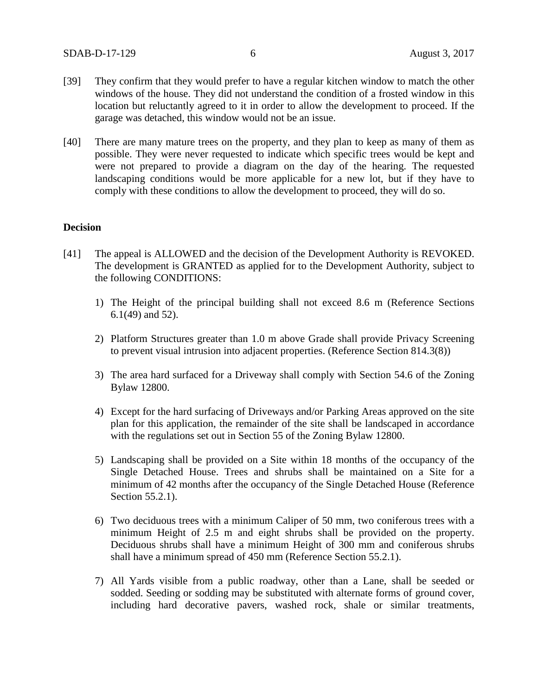- [39] They confirm that they would prefer to have a regular kitchen window to match the other windows of the house. They did not understand the condition of a frosted window in this location but reluctantly agreed to it in order to allow the development to proceed. If the garage was detached, this window would not be an issue.
- [40] There are many mature trees on the property, and they plan to keep as many of them as possible. They were never requested to indicate which specific trees would be kept and were not prepared to provide a diagram on the day of the hearing. The requested landscaping conditions would be more applicable for a new lot, but if they have to comply with these conditions to allow the development to proceed, they will do so.

## **Decision**

- [41] The appeal is ALLOWED and the decision of the Development Authority is REVOKED. The development is GRANTED as applied for to the Development Authority, subject to the following CONDITIONS:
	- 1) The Height of the principal building shall not exceed 8.6 m (Reference Sections 6.1(49) and 52).
	- 2) Platform Structures greater than 1.0 m above Grade shall provide Privacy Screening to prevent visual intrusion into adjacent properties. (Reference Section 814.3(8))
	- 3) The area hard surfaced for a Driveway shall comply with Section 54.6 of the Zoning Bylaw 12800.
	- 4) Except for the hard surfacing of Driveways and/or Parking Areas approved on the site plan for this application, the remainder of the site shall be landscaped in accordance with the regulations set out in Section 55 of the Zoning Bylaw 12800.
	- 5) Landscaping shall be provided on a Site within 18 months of the occupancy of the Single Detached House. Trees and shrubs shall be maintained on a Site for a minimum of 42 months after the occupancy of the Single Detached House (Reference Section 55.2.1).
	- 6) Two deciduous trees with a minimum Caliper of 50 mm, two coniferous trees with a minimum Height of 2.5 m and eight shrubs shall be provided on the property. Deciduous shrubs shall have a minimum Height of 300 mm and coniferous shrubs shall have a minimum spread of 450 mm (Reference Section 55.2.1).
	- 7) All Yards visible from a public roadway, other than a Lane, shall be seeded or sodded. Seeding or sodding may be substituted with alternate forms of ground cover, including hard decorative pavers, washed rock, shale or similar treatments,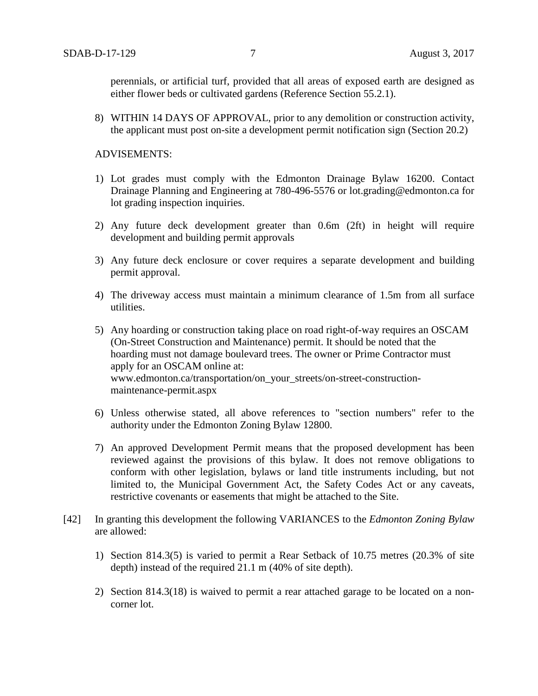perennials, or artificial turf, provided that all areas of exposed earth are designed as either flower beds or cultivated gardens (Reference Section 55.2.1).

8) WITHIN 14 DAYS OF APPROVAL, prior to any demolition or construction activity, the applicant must post on-site a development permit notification sign (Section 20.2)

ADVISEMENTS:

- 1) Lot grades must comply with the Edmonton Drainage Bylaw 16200. Contact Drainage Planning and Engineering at 780-496-5576 or lot.grading@edmonton.ca for lot grading inspection inquiries.
- 2) Any future deck development greater than 0.6m (2ft) in height will require development and building permit approvals
- 3) Any future deck enclosure or cover requires a separate development and building permit approval.
- 4) The driveway access must maintain a minimum clearance of 1.5m from all surface utilities.
- 5) Any hoarding or construction taking place on road right-of-way requires an OSCAM (On-Street Construction and Maintenance) permit. It should be noted that the hoarding must not damage boulevard trees. The owner or Prime Contractor must apply for an OSCAM online at: www.edmonton.ca/transportation/on\_your\_streets/on-street-constructionmaintenance-permit.aspx
- 6) Unless otherwise stated, all above references to "section numbers" refer to the authority under the Edmonton Zoning Bylaw 12800.
- 7) An approved Development Permit means that the proposed development has been reviewed against the provisions of this bylaw. It does not remove obligations to conform with other legislation, bylaws or land title instruments including, but not limited to, the Municipal Government Act, the Safety Codes Act or any caveats, restrictive covenants or easements that might be attached to the Site.
- [42] In granting this development the following VARIANCES to the *Edmonton Zoning Bylaw* are allowed:
	- 1) Section 814.3(5) is varied to permit a Rear Setback of 10.75 metres (20.3% of site depth) instead of the required 21.1 m (40% of site depth).
	- 2) Section 814.3(18) is waived to permit a rear attached garage to be located on a noncorner lot.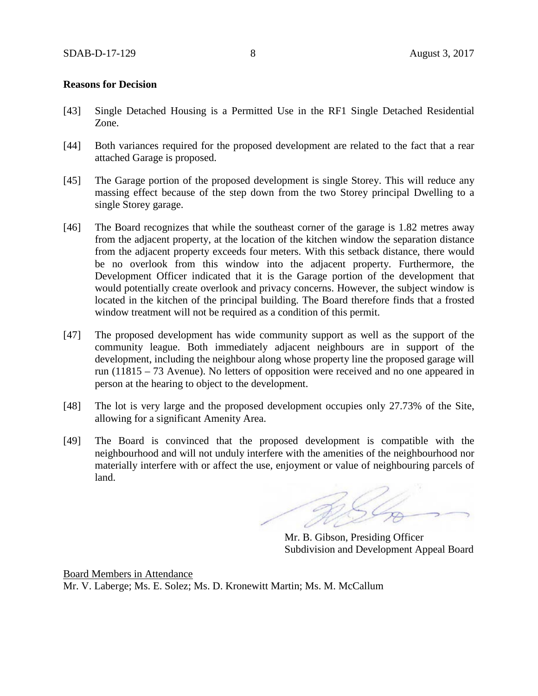### **Reasons for Decision**

- [43] Single Detached Housing is a Permitted Use in the RF1 Single Detached Residential Zone.
- [44] Both variances required for the proposed development are related to the fact that a rear attached Garage is proposed.
- [45] The Garage portion of the proposed development is single Storey. This will reduce any massing effect because of the step down from the two Storey principal Dwelling to a single Storey garage.
- [46] The Board recognizes that while the southeast corner of the garage is 1.82 metres away from the adjacent property, at the location of the kitchen window the separation distance from the adjacent property exceeds four meters. With this setback distance, there would be no overlook from this window into the adjacent property. Furthermore, the Development Officer indicated that it is the Garage portion of the development that would potentially create overlook and privacy concerns. However, the subject window is located in the kitchen of the principal building. The Board therefore finds that a frosted window treatment will not be required as a condition of this permit.
- [47] The proposed development has wide community support as well as the support of the community league. Both immediately adjacent neighbours are in support of the development, including the neighbour along whose property line the proposed garage will run (11815 – 73 Avenue). No letters of opposition were received and no one appeared in person at the hearing to object to the development.
- [48] The lot is very large and the proposed development occupies only 27.73% of the Site, allowing for a significant Amenity Area.
- [49] The Board is convinced that the proposed development is compatible with the neighbourhood and will not unduly interfere with the amenities of the neighbourhood nor materially interfere with or affect the use, enjoyment or value of neighbouring parcels of land.

550

Mr. B. Gibson, Presiding Officer Subdivision and Development Appeal Board

Board Members in Attendance Mr. V. Laberge; Ms. E. Solez; Ms. D. Kronewitt Martin; Ms. M. McCallum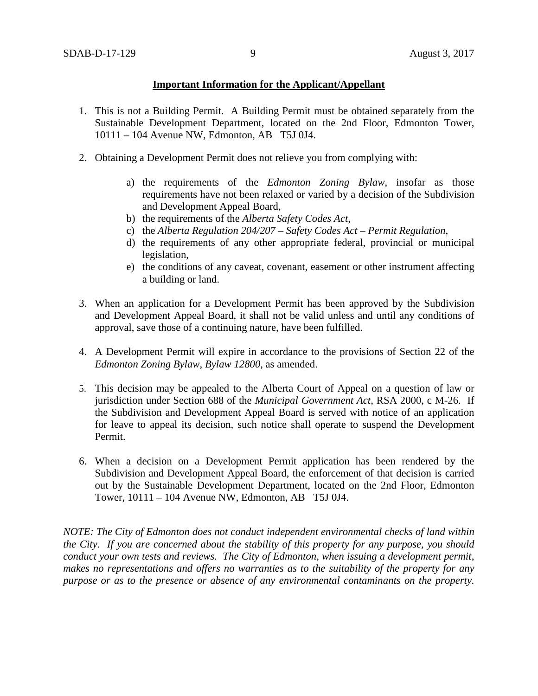### **Important Information for the Applicant/Appellant**

- 1. This is not a Building Permit. A Building Permit must be obtained separately from the Sustainable Development Department, located on the 2nd Floor, Edmonton Tower, 10111 – 104 Avenue NW, Edmonton, AB T5J 0J4.
- 2. Obtaining a Development Permit does not relieve you from complying with:
	- a) the requirements of the *Edmonton Zoning Bylaw*, insofar as those requirements have not been relaxed or varied by a decision of the Subdivision and Development Appeal Board,
	- b) the requirements of the *Alberta Safety Codes Act*,
	- c) the *Alberta Regulation 204/207 – Safety Codes Act – Permit Regulation*,
	- d) the requirements of any other appropriate federal, provincial or municipal legislation,
	- e) the conditions of any caveat, covenant, easement or other instrument affecting a building or land.
- 3. When an application for a Development Permit has been approved by the Subdivision and Development Appeal Board, it shall not be valid unless and until any conditions of approval, save those of a continuing nature, have been fulfilled.
- 4. A Development Permit will expire in accordance to the provisions of Section 22 of the *Edmonton Zoning Bylaw, Bylaw 12800*, as amended.
- 5. This decision may be appealed to the Alberta Court of Appeal on a question of law or jurisdiction under Section 688 of the *Municipal Government Act*, RSA 2000, c M-26. If the Subdivision and Development Appeal Board is served with notice of an application for leave to appeal its decision, such notice shall operate to suspend the Development Permit.
- 6. When a decision on a Development Permit application has been rendered by the Subdivision and Development Appeal Board, the enforcement of that decision is carried out by the Sustainable Development Department, located on the 2nd Floor, Edmonton Tower, 10111 – 104 Avenue NW, Edmonton, AB T5J 0J4.

*NOTE: The City of Edmonton does not conduct independent environmental checks of land within the City. If you are concerned about the stability of this property for any purpose, you should conduct your own tests and reviews. The City of Edmonton, when issuing a development permit, makes no representations and offers no warranties as to the suitability of the property for any purpose or as to the presence or absence of any environmental contaminants on the property.*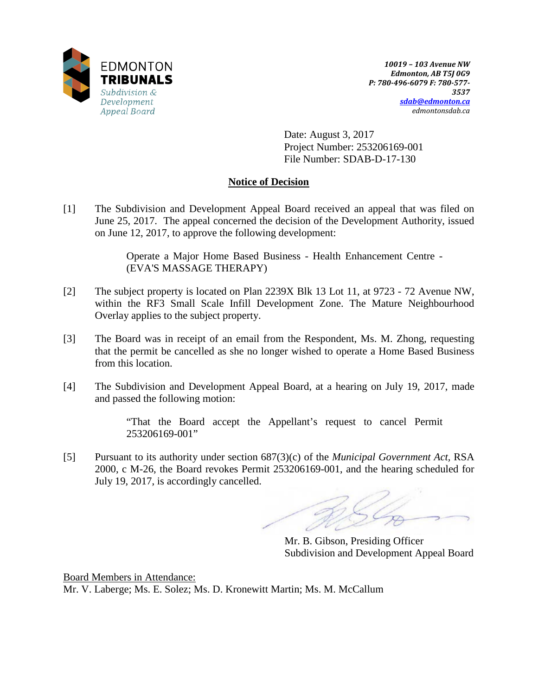

Date: August 3, 2017 Project Number: 253206169-001 File Number: SDAB-D-17-130

# **Notice of Decision**

[1] The Subdivision and Development Appeal Board received an appeal that was filed on June 25, 2017. The appeal concerned the decision of the Development Authority, issued on June 12, 2017, to approve the following development:

> Operate a Major Home Based Business - Health Enhancement Centre - (EVA'S MASSAGE THERAPY)

- [2] The subject property is located on Plan 2239X Blk 13 Lot 11, at 9723 72 Avenue NW, within the RF3 Small Scale Infill Development Zone. The Mature Neighbourhood Overlay applies to the subject property.
- [3] The Board was in receipt of an email from the Respondent, Ms. M. Zhong, requesting that the permit be cancelled as she no longer wished to operate a Home Based Business from this location.
- [4] The Subdivision and Development Appeal Board, at a hearing on July 19, 2017, made and passed the following motion:

"That the Board accept the Appellant's request to cancel Permit 253206169-001"

[5] Pursuant to its authority under section 687(3)(c) of the *Municipal Government Act,* RSA 2000, c M-26, the Board revokes Permit 253206169-001, and the hearing scheduled for July 19, 2017, is accordingly cancelled.

Mr. B. Gibson, Presiding Officer Subdivision and Development Appeal Board

Board Members in Attendance: Mr. V. Laberge; Ms. E. Solez; Ms. D. Kronewitt Martin; Ms. M. McCallum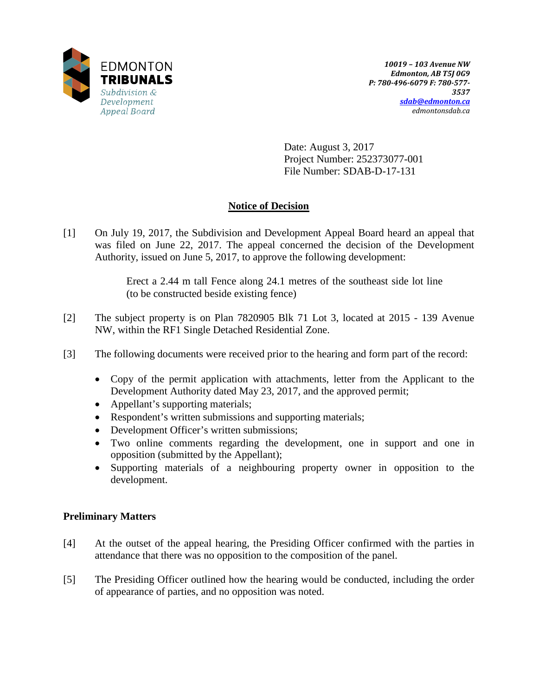

Date: August 3, 2017 Project Number: 252373077-001 File Number: SDAB-D-17-131

# **Notice of Decision**

[1] On July 19, 2017, the Subdivision and Development Appeal Board heard an appeal that was filed on June 22, 2017. The appeal concerned the decision of the Development Authority, issued on June 5, 2017, to approve the following development:

> Erect a 2.44 m tall Fence along 24.1 metres of the southeast side lot line (to be constructed beside existing fence)

- [2] The subject property is on Plan 7820905 Blk 71 Lot 3, located at 2015 139 Avenue NW, within the RF1 Single Detached Residential Zone.
- [3] The following documents were received prior to the hearing and form part of the record:
	- Copy of the permit application with attachments, letter from the Applicant to the Development Authority dated May 23, 2017, and the approved permit;
	- Appellant's supporting materials;
	- Respondent's written submissions and supporting materials;
	- Development Officer's written submissions;
	- Two online comments regarding the development, one in support and one in opposition (submitted by the Appellant);
	- Supporting materials of a neighbouring property owner in opposition to the development.

# **Preliminary Matters**

- [4] At the outset of the appeal hearing, the Presiding Officer confirmed with the parties in attendance that there was no opposition to the composition of the panel.
- [5] The Presiding Officer outlined how the hearing would be conducted, including the order of appearance of parties, and no opposition was noted.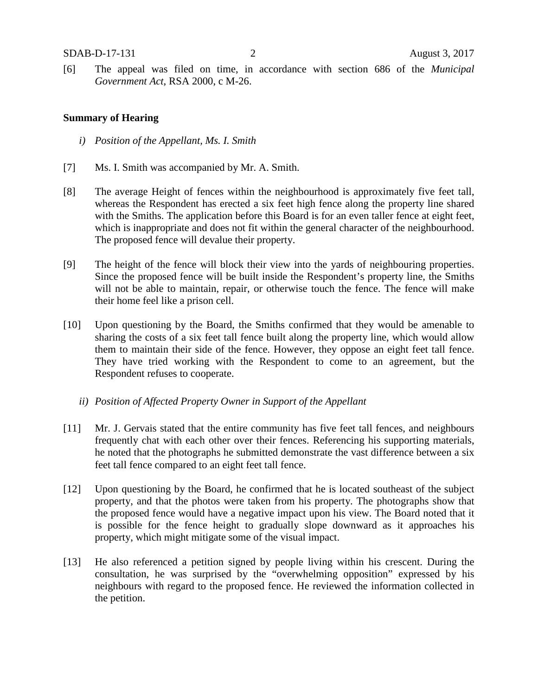[6] The appeal was filed on time, in accordance with section 686 of the *Municipal Government Act*, RSA 2000, c M-26.

#### **Summary of Hearing**

- *i) Position of the Appellant, Ms. I. Smith*
- [7] Ms. I. Smith was accompanied by Mr. A. Smith.
- [8] The average Height of fences within the neighbourhood is approximately five feet tall, whereas the Respondent has erected a six feet high fence along the property line shared with the Smiths. The application before this Board is for an even taller fence at eight feet, which is inappropriate and does not fit within the general character of the neighbourhood. The proposed fence will devalue their property.
- [9] The height of the fence will block their view into the yards of neighbouring properties. Since the proposed fence will be built inside the Respondent's property line, the Smiths will not be able to maintain, repair, or otherwise touch the fence. The fence will make their home feel like a prison cell.
- [10] Upon questioning by the Board, the Smiths confirmed that they would be amenable to sharing the costs of a six feet tall fence built along the property line, which would allow them to maintain their side of the fence. However, they oppose an eight feet tall fence. They have tried working with the Respondent to come to an agreement, but the Respondent refuses to cooperate.
	- *ii) Position of Affected Property Owner in Support of the Appellant*
- [11] Mr. J. Gervais stated that the entire community has five feet tall fences, and neighbours frequently chat with each other over their fences. Referencing his supporting materials, he noted that the photographs he submitted demonstrate the vast difference between a six feet tall fence compared to an eight feet tall fence.
- [12] Upon questioning by the Board, he confirmed that he is located southeast of the subject property, and that the photos were taken from his property. The photographs show that the proposed fence would have a negative impact upon his view. The Board noted that it is possible for the fence height to gradually slope downward as it approaches his property, which might mitigate some of the visual impact.
- [13] He also referenced a petition signed by people living within his crescent. During the consultation, he was surprised by the "overwhelming opposition" expressed by his neighbours with regard to the proposed fence. He reviewed the information collected in the petition.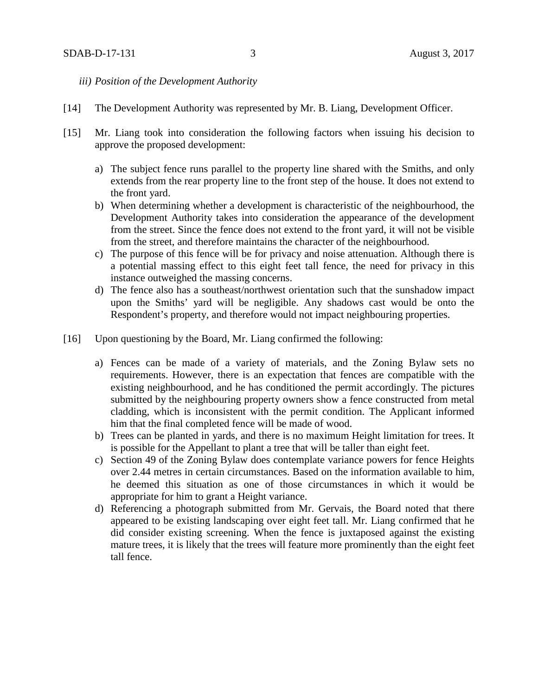#### *iii) Position of the Development Authority*

- [14] The Development Authority was represented by Mr. B. Liang, Development Officer.
- [15] Mr. Liang took into consideration the following factors when issuing his decision to approve the proposed development:
	- a) The subject fence runs parallel to the property line shared with the Smiths, and only extends from the rear property line to the front step of the house. It does not extend to the front yard.
	- b) When determining whether a development is characteristic of the neighbourhood, the Development Authority takes into consideration the appearance of the development from the street. Since the fence does not extend to the front yard, it will not be visible from the street, and therefore maintains the character of the neighbourhood.
	- c) The purpose of this fence will be for privacy and noise attenuation. Although there is a potential massing effect to this eight feet tall fence, the need for privacy in this instance outweighed the massing concerns.
	- d) The fence also has a southeast/northwest orientation such that the sunshadow impact upon the Smiths' yard will be negligible. Any shadows cast would be onto the Respondent's property, and therefore would not impact neighbouring properties.
- [16] Upon questioning by the Board, Mr. Liang confirmed the following:
	- a) Fences can be made of a variety of materials, and the Zoning Bylaw sets no requirements. However, there is an expectation that fences are compatible with the existing neighbourhood, and he has conditioned the permit accordingly. The pictures submitted by the neighbouring property owners show a fence constructed from metal cladding, which is inconsistent with the permit condition. The Applicant informed him that the final completed fence will be made of wood.
	- b) Trees can be planted in yards, and there is no maximum Height limitation for trees. It is possible for the Appellant to plant a tree that will be taller than eight feet.
	- c) Section 49 of the Zoning Bylaw does contemplate variance powers for fence Heights over 2.44 metres in certain circumstances. Based on the information available to him, he deemed this situation as one of those circumstances in which it would be appropriate for him to grant a Height variance.
	- d) Referencing a photograph submitted from Mr. Gervais, the Board noted that there appeared to be existing landscaping over eight feet tall. Mr. Liang confirmed that he did consider existing screening. When the fence is juxtaposed against the existing mature trees, it is likely that the trees will feature more prominently than the eight feet tall fence.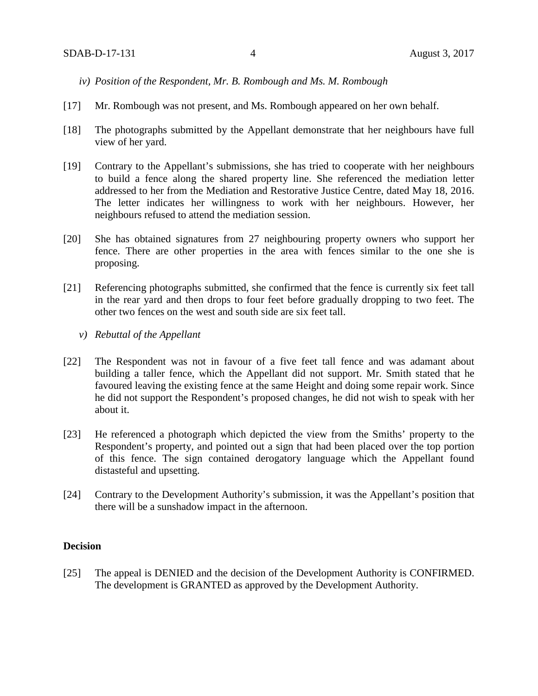- *iv) Position of the Respondent, Mr. B. Rombough and Ms. M. Rombough*
- [17] Mr. Rombough was not present, and Ms. Rombough appeared on her own behalf.
- [18] The photographs submitted by the Appellant demonstrate that her neighbours have full view of her yard.
- [19] Contrary to the Appellant's submissions, she has tried to cooperate with her neighbours to build a fence along the shared property line. She referenced the mediation letter addressed to her from the Mediation and Restorative Justice Centre, dated May 18, 2016. The letter indicates her willingness to work with her neighbours. However, her neighbours refused to attend the mediation session.
- [20] She has obtained signatures from 27 neighbouring property owners who support her fence. There are other properties in the area with fences similar to the one she is proposing.
- [21] Referencing photographs submitted, she confirmed that the fence is currently six feet tall in the rear yard and then drops to four feet before gradually dropping to two feet. The other two fences on the west and south side are six feet tall.
	- *v) Rebuttal of the Appellant*
- [22] The Respondent was not in favour of a five feet tall fence and was adamant about building a taller fence, which the Appellant did not support. Mr. Smith stated that he favoured leaving the existing fence at the same Height and doing some repair work. Since he did not support the Respondent's proposed changes, he did not wish to speak with her about it.
- [23] He referenced a photograph which depicted the view from the Smiths' property to the Respondent's property, and pointed out a sign that had been placed over the top portion of this fence. The sign contained derogatory language which the Appellant found distasteful and upsetting.
- [24] Contrary to the Development Authority's submission, it was the Appellant's position that there will be a sunshadow impact in the afternoon.

# **Decision**

[25] The appeal is DENIED and the decision of the Development Authority is CONFIRMED. The development is GRANTED as approved by the Development Authority.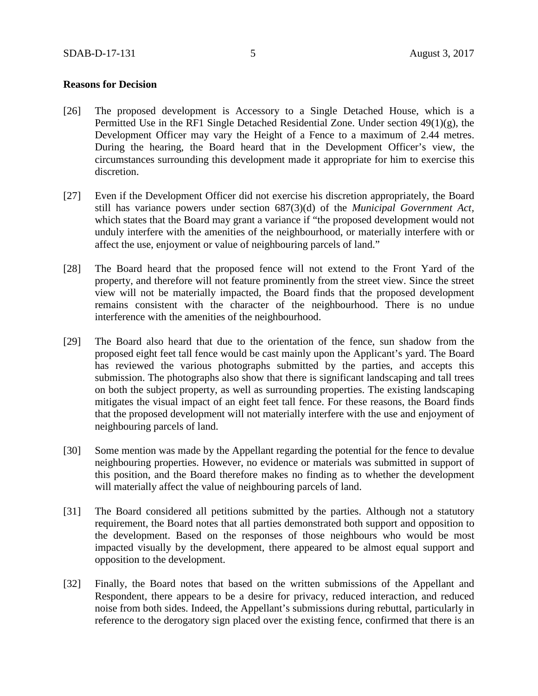### **Reasons for Decision**

- [26] The proposed development is Accessory to a Single Detached House, which is a Permitted Use in the RF1 Single Detached Residential Zone. Under section 49(1)(g), the Development Officer may vary the Height of a Fence to a maximum of 2.44 metres. During the hearing, the Board heard that in the Development Officer's view, the circumstances surrounding this development made it appropriate for him to exercise this discretion.
- [27] Even if the Development Officer did not exercise his discretion appropriately, the Board still has variance powers under section 687(3)(d) of the *Municipal Government Act,*  which states that the Board may grant a variance if "the proposed development would not unduly interfere with the amenities of the neighbourhood, or materially interfere with or affect the use, enjoyment or value of neighbouring parcels of land."
- [28] The Board heard that the proposed fence will not extend to the Front Yard of the property, and therefore will not feature prominently from the street view. Since the street view will not be materially impacted, the Board finds that the proposed development remains consistent with the character of the neighbourhood. There is no undue interference with the amenities of the neighbourhood.
- [29] The Board also heard that due to the orientation of the fence, sun shadow from the proposed eight feet tall fence would be cast mainly upon the Applicant's yard. The Board has reviewed the various photographs submitted by the parties, and accepts this submission. The photographs also show that there is significant landscaping and tall trees on both the subject property, as well as surrounding properties. The existing landscaping mitigates the visual impact of an eight feet tall fence. For these reasons, the Board finds that the proposed development will not materially interfere with the use and enjoyment of neighbouring parcels of land.
- [30] Some mention was made by the Appellant regarding the potential for the fence to devalue neighbouring properties. However, no evidence or materials was submitted in support of this position, and the Board therefore makes no finding as to whether the development will materially affect the value of neighbouring parcels of land.
- [31] The Board considered all petitions submitted by the parties. Although not a statutory requirement, the Board notes that all parties demonstrated both support and opposition to the development. Based on the responses of those neighbours who would be most impacted visually by the development, there appeared to be almost equal support and opposition to the development.
- [32] Finally, the Board notes that based on the written submissions of the Appellant and Respondent, there appears to be a desire for privacy, reduced interaction, and reduced noise from both sides. Indeed, the Appellant's submissions during rebuttal, particularly in reference to the derogatory sign placed over the existing fence, confirmed that there is an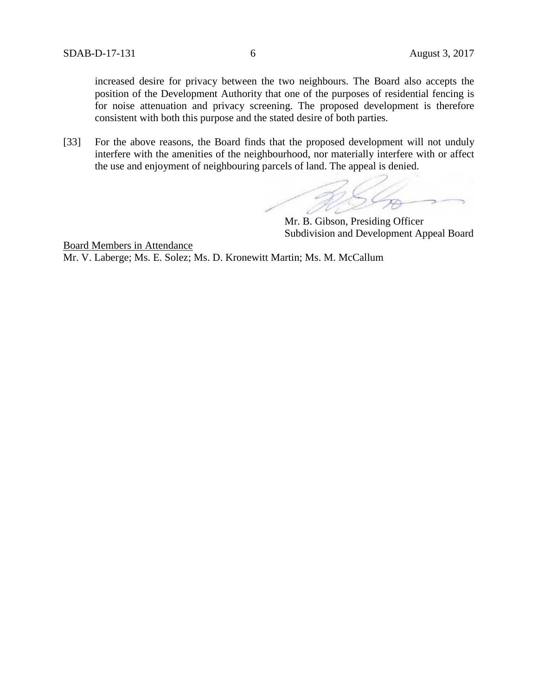increased desire for privacy between the two neighbours. The Board also accepts the position of the Development Authority that one of the purposes of residential fencing is for noise attenuation and privacy screening. The proposed development is therefore consistent with both this purpose and the stated desire of both parties.

[33] For the above reasons, the Board finds that the proposed development will not unduly interfere with the amenities of the neighbourhood, nor materially interfere with or affect the use and enjoyment of neighbouring parcels of land. The appeal is denied.

Mr. B. Gibson, Presiding Officer Subdivision and Development Appeal Board

Board Members in Attendance Mr. V. Laberge; Ms. E. Solez; Ms. D. Kronewitt Martin; Ms. M. McCallum